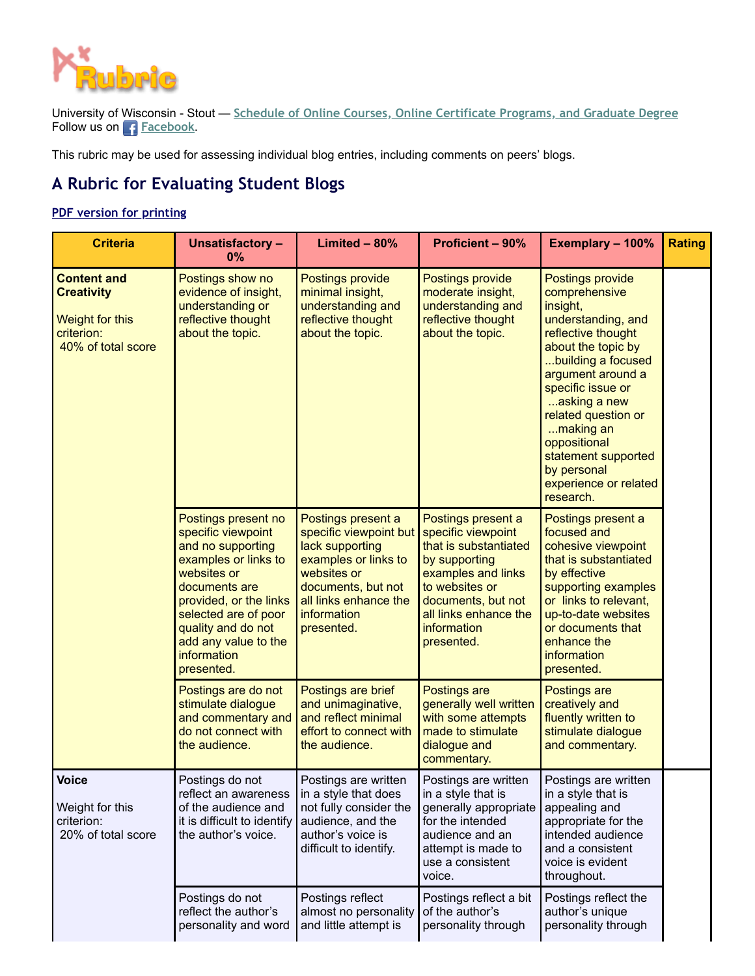

University of Wisconsin - Stout — **[Schedule of Online Courses, Online Certificate Programs, and Graduate Degree](https://www.uwstout.edu/academics/online-professional-development/online-professional-development-courses)** Follow us on**[Facebook](https://www.facebook.com/onlineprofessionaldevelopment/)**.

This rubric may be used for assessing individual blog entries, including comments on peers' blogs.

## **A Rubric for Evaluating Student Blogs**

## **[PDF version for printing](https://www2.uwstout.edu/content/profdev/rubrics/blogrubric.pdf)**

| <b>Criteria</b>                                                                                | <b>Unsatisfactory -</b><br>0%                                                                                                                                                                                                                              | Limited $-80%$                                                                                                                                                                     | <b>Proficient - 90%</b>                                                                                                                                                                                | Exemplary - 100%                                                                                                                                                                                                                                                                                                                | <b>Rating</b> |
|------------------------------------------------------------------------------------------------|------------------------------------------------------------------------------------------------------------------------------------------------------------------------------------------------------------------------------------------------------------|------------------------------------------------------------------------------------------------------------------------------------------------------------------------------------|--------------------------------------------------------------------------------------------------------------------------------------------------------------------------------------------------------|---------------------------------------------------------------------------------------------------------------------------------------------------------------------------------------------------------------------------------------------------------------------------------------------------------------------------------|---------------|
| <b>Content and</b><br><b>Creativity</b><br>Weight for this<br>criterion:<br>40% of total score | Postings show no<br>evidence of insight,<br>understanding or<br>reflective thought<br>about the topic.                                                                                                                                                     | Postings provide<br>minimal insight,<br>understanding and<br>reflective thought<br>about the topic.                                                                                | Postings provide<br>moderate insight,<br>understanding and<br>reflective thought<br>about the topic.                                                                                                   | Postings provide<br>comprehensive<br>insight,<br>understanding, and<br>reflective thought<br>about the topic by<br>building a focused<br>argument around a<br>specific issue or<br>asking a new<br>related question or<br>making an<br>oppositional<br>statement supported<br>by personal<br>experience or related<br>research. |               |
|                                                                                                | Postings present no<br>specific viewpoint<br>and no supporting<br>examples or links to<br>websites or<br>documents are<br>provided, or the links<br>selected are of poor<br>quality and do not<br>add any value to the<br><i>information</i><br>presented. | Postings present a<br>specific viewpoint but<br>lack supporting<br>examples or links to<br>websites or<br>documents, but not<br>all links enhance the<br>information<br>presented. | Postings present a<br>specific viewpoint<br>that is substantiated<br>by supporting<br>examples and links<br>to websites or<br>documents, but not<br>all links enhance the<br>information<br>presented. | Postings present a<br>focused and<br>cohesive viewpoint<br>that is substantiated<br>by effective<br>supporting examples<br>or links to relevant,<br>up-to-date websites<br>or documents that<br>enhance the<br>information<br>presented.                                                                                        |               |
|                                                                                                | Postings are do not<br>stimulate dialogue<br>and commentary and<br>do not connect with<br>the audience.                                                                                                                                                    | Postings are brief<br>and unimaginative,<br>and reflect minimal<br>effort to connect with<br>the audience.                                                                         | Postings are<br>generally well written<br>with some attempts<br>made to stimulate<br>dialogue and<br>commentary.                                                                                       | Postings are<br>creatively and<br>fluently written to<br>stimulate dialogue<br>and commentary.                                                                                                                                                                                                                                  |               |
| <b>Voice</b><br>Weight for this<br>criterion:<br>20% of total score                            | Postings do not<br>reflect an awareness<br>of the audience and<br>it is difficult to identify<br>the author's voice.                                                                                                                                       | Postings are written<br>in a style that does<br>not fully consider the<br>audience, and the<br>author's voice is<br>difficult to identify.                                         | Postings are written<br>in a style that is<br>generally appropriate<br>for the intended<br>audience and an<br>attempt is made to<br>use a consistent<br>voice.                                         | Postings are written<br>in a style that is<br>appealing and<br>appropriate for the<br>intended audience<br>and a consistent<br>voice is evident<br>throughout.                                                                                                                                                                  |               |
|                                                                                                | Postings do not<br>reflect the author's<br>personality and word                                                                                                                                                                                            | Postings reflect<br>almost no personality<br>and little attempt is                                                                                                                 | Postings reflect a bit<br>of the author's<br>personality through                                                                                                                                       | Postings reflect the<br>author's unique<br>personality through                                                                                                                                                                                                                                                                  |               |